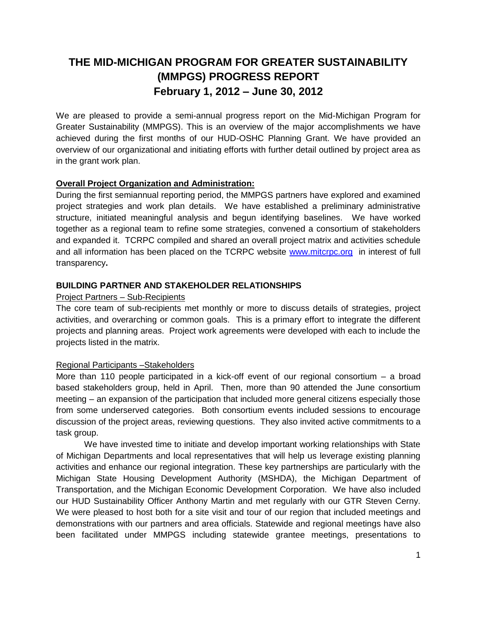# **THE MID-MICHIGAN PROGRAM FOR GREATER SUSTAINABILITY (MMPGS) PROGRESS REPORT February 1, 2012 – June 30, 2012**

We are pleased to provide a semi-annual progress report on the Mid-Michigan Program for Greater Sustainability (MMPGS). This is an overview of the major accomplishments we have achieved during the first months of our HUD-OSHC Planning Grant. We have provided an overview of our organizational and initiating efforts with further detail outlined by project area as in the grant work plan.

## **Overall Project Organization and Administration:**

During the first semiannual reporting period, the MMPGS partners have explored and examined project strategies and work plan details. We have established a preliminary administrative structure, initiated meaningful analysis and begun identifying baselines. We have worked together as a regional team to refine some strategies, convened a consortium of stakeholders and expanded it. TCRPC compiled and shared an overall project matrix and activities schedule and all information has been placed on the TCRPC website [www.mitcrpc.org](http://www.mitcrpc.org/) in interest of full transparency**.** 

#### **BUILDING PARTNER AND STAKEHOLDER RELATIONSHIPS**

#### Project Partners – Sub-Recipients

The core team of sub-recipients met monthly or more to discuss details of strategies, project activities, and overarching or common goals. This is a primary effort to integrate the different projects and planning areas. Project work agreements were developed with each to include the projects listed in the matrix.

#### Regional Participants –Stakeholders

More than 110 people participated in a kick-off event of our regional consortium – a broad based stakeholders group, held in April. Then, more than 90 attended the June consortium meeting – an expansion of the participation that included more general citizens especially those from some underserved categories. Both consortium events included sessions to encourage discussion of the project areas, reviewing questions. They also invited active commitments to a task group.

We have invested time to initiate and develop important working relationships with State of Michigan Departments and local representatives that will help us leverage existing planning activities and enhance our regional integration. These key partnerships are particularly with the Michigan State Housing Development Authority (MSHDA), the Michigan Department of Transportation, and the Michigan Economic Development Corporation. We have also included our HUD Sustainability Officer Anthony Martin and met regularly with our GTR Steven Cerny. We were pleased to host both for a site visit and tour of our region that included meetings and demonstrations with our partners and area officials. Statewide and regional meetings have also been facilitated under MMPGS including statewide grantee meetings, presentations to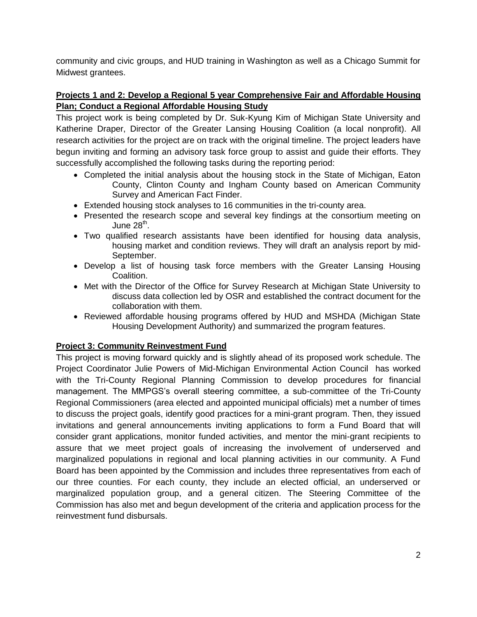community and civic groups, and HUD training in Washington as well as a Chicago Summit for Midwest grantees.

### **Projects 1 and 2: Develop a Regional 5 year Comprehensive Fair and Affordable Housing Plan; Conduct a Regional Affordable Housing Study**

This project work is being completed by Dr. Suk-Kyung Kim of Michigan State University and Katherine Draper, Director of the Greater Lansing Housing Coalition (a local nonprofit). All research activities for the project are on track with the original timeline. The project leaders have begun inviting and forming an advisory task force group to assist and guide their efforts. They successfully accomplished the following tasks during the reporting period:

- Completed the initial analysis about the housing stock in the State of Michigan, Eaton County, Clinton County and Ingham County based on American Community Survey and American Fact Finder.
- Extended housing stock analyses to 16 communities in the tri-county area.
- Presented the research scope and several key findings at the consortium meeting on June 28 $^{\text{th}}$ .
- Two qualified research assistants have been identified for housing data analysis, housing market and condition reviews. They will draft an analysis report by mid-September.
- Develop a list of housing task force members with the Greater Lansing Housing Coalition.
- Met with the Director of the Office for Survey Research at Michigan State University to discuss data collection led by OSR and established the contract document for the collaboration with them.
- Reviewed affordable housing programs offered by HUD and MSHDA (Michigan State Housing Development Authority) and summarized the program features.

#### **Project 3: Community Reinvestment Fund**

This project is moving forward quickly and is slightly ahead of its proposed work schedule. The Project Coordinator Julie Powers of Mid-Michigan Environmental Action Council has worked with the Tri-County Regional Planning Commission to develop procedures for financial management. The MMPGS's overall steering committee, a sub-committee of the Tri-County Regional Commissioners (area elected and appointed municipal officials) met a number of times to discuss the project goals, identify good practices for a mini-grant program. Then, they issued invitations and general announcements inviting applications to form a Fund Board that will consider grant applications, monitor funded activities, and mentor the mini-grant recipients to assure that we meet project goals of increasing the involvement of underserved and marginalized populations in regional and local planning activities in our community. A Fund Board has been appointed by the Commission and includes three representatives from each of our three counties. For each county, they include an elected official, an underserved or marginalized population group, and a general citizen. The Steering Committee of the Commission has also met and begun development of the criteria and application process for the reinvestment fund disbursals.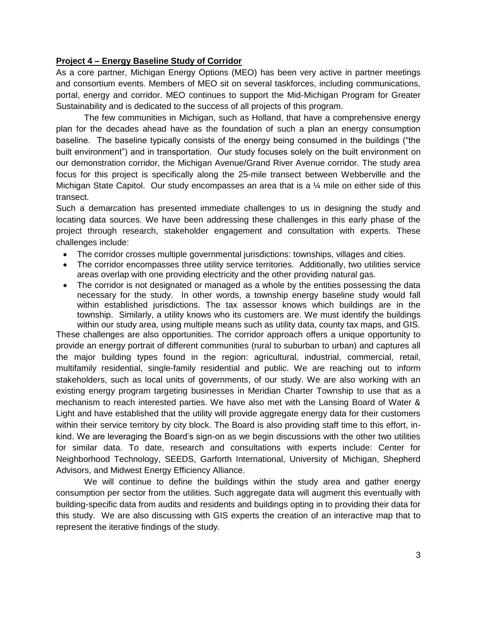#### **Project 4 – Energy Baseline Study of Corridor**

As a core partner, Michigan Energy Options (MEO) has been very active in partner meetings and consortium events. Members of MEO sit on several taskforces, including communications, portal, energy and corridor. MEO continues to support the Mid-Michigan Program for Greater Sustainability and is dedicated to the success of all projects of this program.

The few communities in Michigan, such as Holland, that have a comprehensive energy plan for the decades ahead have as the foundation of such a plan an energy consumption baseline. The baseline typically consists of the energy being consumed in the buildings ("the built environment") and in transportation. Our study focuses solely on the built environment on our demonstration corridor, the Michigan Avenue/Grand River Avenue corridor. The study area focus for this project is specifically along the 25-mile transect between Webberville and the Michigan State Capitol. Our study encompasses an area that is a  $\frac{1}{4}$  mile on either side of this transect.

Such a demarcation has presented immediate challenges to us in designing the study and locating data sources. We have been addressing these challenges in this early phase of the project through research, stakeholder engagement and consultation with experts. These challenges include:

- The corridor crosses multiple governmental jurisdictions: townships, villages and cities.
- The corridor encompasses three utility service territories. Additionally, two utilities service areas overlap with one providing electricity and the other providing natural gas.
- The corridor is not designated or managed as a whole by the entities possessing the data necessary for the study. In other words, a township energy baseline study would fall within established jurisdictions. The tax assessor knows which buildings are in the township. Similarly, a utility knows who its customers are. We must identify the buildings within our study area, using multiple means such as utility data, county tax maps, and GIS.

These challenges are also opportunities. The corridor approach offers a unique opportunity to provide an energy portrait of different communities (rural to suburban to urban) and captures all the major building types found in the region: agricultural, industrial, commercial, retail, multifamily residential, single-family residential and public. We are reaching out to inform stakeholders, such as local units of governments, of our study. We are also working with an existing energy program targeting businesses in Meridian Charter Township to use that as a mechanism to reach interested parties. We have also met with the Lansing Board of Water & Light and have established that the utility will provide aggregate energy data for their customers within their service territory by city block. The Board is also providing staff time to this effort, inkind. We are leveraging the Board's sign-on as we begin discussions with the other two utilities for similar data. To date, research and consultations with experts include: Center for Neighborhood Technology, SEEDS, Garforth International, University of Michigan, Shepherd Advisors, and Midwest Energy Efficiency Alliance.

We will continue to define the buildings within the study area and gather energy consumption per sector from the utilities. Such aggregate data will augment this eventually with building-specific data from audits and residents and buildings opting in to providing their data for this study. We are also discussing with GIS experts the creation of an interactive map that to represent the iterative findings of the study.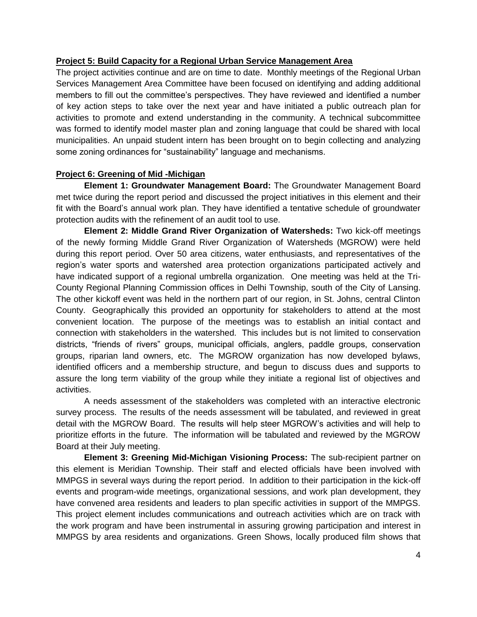### **Project 5: Build Capacity for a Regional Urban Service Management Area**

The project activities continue and are on time to date. Monthly meetings of the Regional Urban Services Management Area Committee have been focused on identifying and adding additional members to fill out the committee's perspectives. They have reviewed and identified a number of key action steps to take over the next year and have initiated a public outreach plan for activities to promote and extend understanding in the community. A technical subcommittee was formed to identify model master plan and zoning language that could be shared with local municipalities. An unpaid student intern has been brought on to begin collecting and analyzing some zoning ordinances for "sustainability" language and mechanisms.

### **Project 6: Greening of Mid -Michigan**

**Element 1: Groundwater Management Board:** The Groundwater Management Board met twice during the report period and discussed the project initiatives in this element and their fit with the Board's annual work plan. They have identified a tentative schedule of groundwater protection audits with the refinement of an audit tool to use.

**Element 2: Middle Grand River Organization of Watersheds:** Two kick-off meetings of the newly forming Middle Grand River Organization of Watersheds (MGROW) were held during this report period. Over 50 area citizens, water enthusiasts, and representatives of the region's water sports and watershed area protection organizations participated actively and have indicated support of a regional umbrella organization. One meeting was held at the Tri-County Regional Planning Commission offices in Delhi Township, south of the City of Lansing. The other kickoff event was held in the northern part of our region, in St. Johns, central Clinton County. Geographically this provided an opportunity for stakeholders to attend at the most convenient location. The purpose of the meetings was to establish an initial contact and connection with stakeholders in the watershed. This includes but is not limited to conservation districts, "friends of rivers" groups, municipal officials, anglers, paddle groups, conservation groups, riparian land owners, etc. The MGROW organization has now developed bylaws, identified officers and a membership structure, and begun to discuss dues and supports to assure the long term viability of the group while they initiate a regional list of objectives and activities.

A needs assessment of the stakeholders was completed with an interactive electronic survey process. The results of the needs assessment will be tabulated, and reviewed in great detail with the MGROW Board. The results will help steer MGROW's activities and will help to prioritize efforts in the future. The information will be tabulated and reviewed by the MGROW Board at their July meeting.

**Element 3: Greening Mid-Michigan Visioning Process:** The sub-recipient partner on this element is Meridian Township. Their staff and elected officials have been involved with MMPGS in several ways during the report period. In addition to their participation in the kick-off events and program-wide meetings, organizational sessions, and work plan development, they have convened area residents and leaders to plan specific activities in support of the MMPGS. This project element includes communications and outreach activities which are on track with the work program and have been instrumental in assuring growing participation and interest in MMPGS by area residents and organizations. Green Shows, locally produced film shows that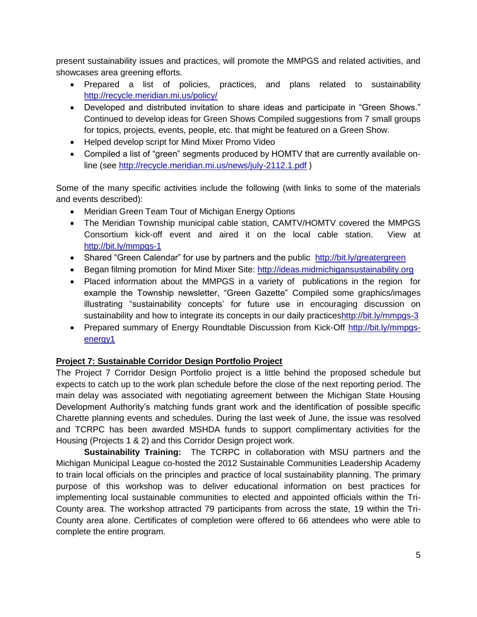present sustainability issues and practices, will promote the MMPGS and related activities, and showcases area greening efforts.

- Prepared a list of policies, practices, and plans related to sustainability <http://recycle.meridian.mi.us/policy/>
- Developed and distributed invitation to share ideas and participate in "Green Shows." Continued to develop ideas for Green Shows Compiled suggestions from 7 small groups for topics, projects, events, people, etc. that might be featured on a Green Show.
- Helped develop script for Mind Mixer Promo Video
- Compiled a list of "green" segments produced by HOMTV that are currently available online (see<http://recycle.meridian.mi.us/news/july-2112.1.pdf> )

Some of the many specific activities include the following (with links to some of the materials and events described):

- Meridian Green Team Tour of Michigan Energy Options
- The Meridian Township municipal cable station, CAMTV/HOMTV covered the MMPGS Consortium kick-off event and aired it on the local cable station. View at <http://bit.ly/mmpgs-1>
- Shared "Green Calendar" for use by partners and the public <http://bit.ly/greatergreen>
- Began filming promotion for Mind Mixer Site: [http://ideas.midmichigansustainability.org](http://ideas.midmichigansustainability.org/)
- Placed information about the MMPGS in a variety of publications in the region for example the Township newsletter, "Green Gazette" Compiled some graphics/images illustrating "sustainability concepts' for future use in encouraging discussion on sustainability and how to integrate its concepts in our daily practice[shttp://bit.ly/mmpgs-3](http://bit.ly/mmpgs-3)
- Prepared summary of Energy Roundtable Discussion from Kick-Off [http://bit.ly/mmpgs](http://bit.ly/mmpgs-energy1)[energy1](http://bit.ly/mmpgs-energy1)

## **Project 7: Sustainable Corridor Design Portfolio Project**

The Project 7 Corridor Design Portfolio project is a little behind the proposed schedule but expects to catch up to the work plan schedule before the close of the next reporting period. The main delay was associated with negotiating agreement between the Michigan State Housing Development Authority's matching funds grant work and the identification of possible specific Charette planning events and schedules. During the last week of June, the issue was resolved and TCRPC has been awarded MSHDA funds to support complimentary activities for the Housing (Projects 1 & 2) and this Corridor Design project work.

**Sustainability Training:** The TCRPC in collaboration with MSU partners and the Michigan Municipal League co-hosted the 2012 Sustainable Communities Leadership Academy to train local officials on the principles and practice of local sustainability planning. The primary purpose of this workshop was to deliver educational information on best practices for implementing local sustainable communities to elected and appointed officials within the Tri-County area. The workshop attracted 79 participants from across the state, 19 within the Tri-County area alone. Certificates of completion were offered to 66 attendees who were able to complete the entire program.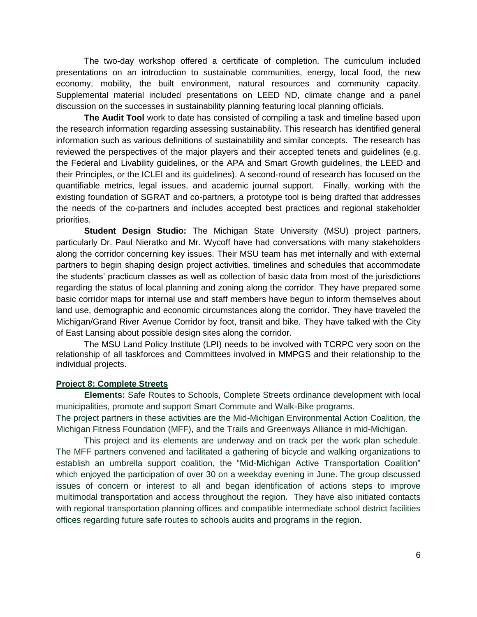The two-day workshop offered a certificate of completion. The curriculum included presentations on an introduction to sustainable communities, energy, local food, the new economy, mobility, the built environment, natural resources and community capacity. Supplemental material included presentations on LEED ND, climate change and a panel discussion on the successes in sustainability planning featuring local planning officials.

**The Audit Tool** work to date has consisted of compiling a task and timeline based upon the research information regarding assessing sustainability. This research has identified general information such as various definitions of sustainability and similar concepts. The research has reviewed the perspectives of the major players and their accepted tenets and guidelines (e.g. the Federal and Livability guidelines, or the APA and Smart Growth guidelines, the LEED and their Principles, or the ICLEI and its guidelines). A second-round of research has focused on the quantifiable metrics, legal issues, and academic journal support. Finally, working with the existing foundation of SGRAT and co-partners, a prototype tool is being drafted that addresses the needs of the co-partners and includes accepted best practices and regional stakeholder priorities.

**Student Design Studio:** The Michigan State University (MSU) project partners, particularly Dr. Paul Nieratko and Mr. Wycoff have had conversations with many stakeholders along the corridor concerning key issues. Their MSU team has met internally and with external partners to begin shaping design project activities, timelines and schedules that accommodate the students' practicum classes as well as collection of basic data from most of the jurisdictions regarding the status of local planning and zoning along the corridor. They have prepared some basic corridor maps for internal use and staff members have begun to inform themselves about land use, demographic and economic circumstances along the corridor. They have traveled the Michigan/Grand River Avenue Corridor by foot, transit and bike. They have talked with the City of East Lansing about possible design sites along the corridor.

The MSU Land Policy Institute (LPI) needs to be involved with TCRPC very soon on the relationship of all taskforces and Committees involved in MMPGS and their relationship to the individual projects.

#### **Project 8: Complete Streets**

**Elements:** Safe Routes to Schools, Complete Streets ordinance development with local municipalities, promote and support Smart Commute and Walk-Bike programs.

The project partners in these activities are the Mid-Michigan Environmental Action Coalition, the Michigan Fitness Foundation (MFF), and the Trails and Greenways Alliance in mid-Michigan.

This project and its elements are underway and on track per the work plan schedule. The MFF partners convened and facilitated a gathering of bicycle and walking organizations to establish an umbrella support coalition, the "Mid-Michigan Active Transportation Coalition" which enjoyed the participation of over 30 on a weekday evening in June. The group discussed issues of concern or interest to all and began identification of actions steps to improve multimodal transportation and access throughout the region. They have also initiated contacts with regional transportation planning offices and compatible intermediate school district facilities offices regarding future safe routes to schools audits and programs in the region.